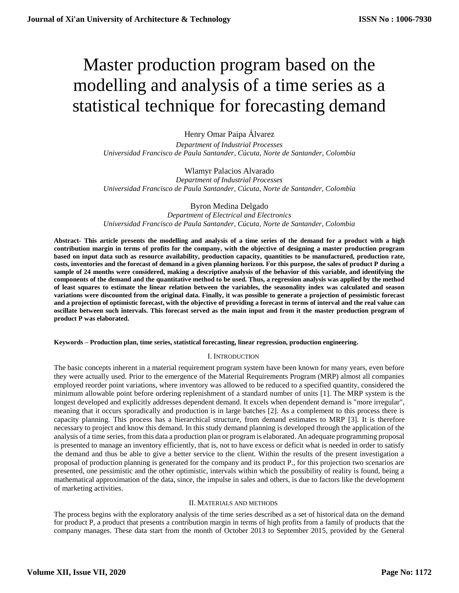# Master production program based on the modelling and analysis of a time series as a statistical technique for forecasting demand

Henry Omar Paipa Álvarez

*Department of Industrial Processes Universidad Francisco de Paula Santander, Cúcuta, Norte de Santander, Colombia*

Wlamyr Palacios Alvarado *Department of Industrial Processes Universidad Francisco de Paula Santander, Cúcuta, Norte de Santander, Colombia*

Byron Medina Delgado

*Department of Electrical and Electronics Universidad Francisco de Paula Santander, Cúcuta, Norte de Santander, Colombia*

**Abstract- This article presents the modelling and analysis of a time series of the demand for a product with a high contribution margin in terms of profits for the company, with the objective of designing a master production program based on input data such as resource availability, production capacity, quantities to be manufactured, production rate, costs, inventories and the forecast of demand in a given planning horizon. For this purpose, the sales of product P during a sample of 24 months were considered, making a descriptive analysis of the behavior of this variable, and identifying the components of the demand and the quantitative method to be used. Thus, a regression analysis was applied by the method of least squares to estimate the linear relation between the variables, the seasonality index was calculated and season variations were discounted from the original data. Finally, it was possible to generate a projection of pessimistic forecast and a projection of optimistic forecast, with the objective of providing a forecast in terms of interval and the real value can oscillate between such intervals. This forecast served as the main input and from it the master production program of product P was elaborated.**

**Keywords – Production plan, time series, statistical forecasting, linear regression, production engineering.**

# I. INTRODUCTION

The basic concepts inherent in a material requirement program system have been known for many years, even before they were actually used. Prior to the emergence of the Material Requirements Program (MRP) almost all companies employed reorder point variations, where inventory was allowed to be reduced to a specified quantity, considered the minimum allowable point before ordering replenishment of a standard number of units [1]. The MRP system is the longest developed and explicitly addresses dependent demand. It excels when dependent demand is "more irregular", meaning that it occurs sporadically and production is in large batches [2]. As a complement to this process there is capacity planning. This process has a hierarchical structure, from demand estimates to MRP [3]. It is therefore necessary to project and know this demand. In this study demand planning is developed through the application of the analysis of a time series, from this data a production plan or program is elaborated. An adequate programming proposal is presented to manage an inventory efficiently, that is, not to have excess or deficit what is needed in order to satisfy the demand and thus be able to give a better service to the client. Within the results of the present investigation a proposal of production planning is generated for the company and its product P., for this projection two scenarios are presented, one pessimistic and the other optimistic, intervals within which the possibility of reality is found, being a mathematical approximation of the data, since, the impulse in sales and others, is due to factors like the development of marketing activities.

# II. MATERIALS AND METHODS

The process begins with the exploratory analysis of the time series described as a set of historical data on the demand for product P, a product that presents a contribution margin in terms of high profits from a family of products that the company manages. These data start from the month of October 2013 to September 2015, provided by the General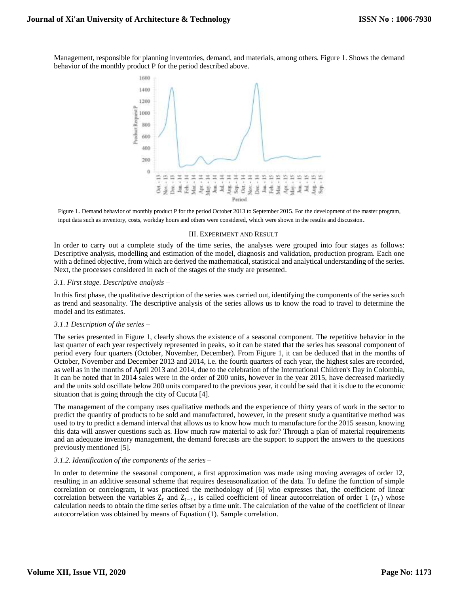Management, responsible for planning inventories, demand, and materials, among others. Figure 1. Shows the demand behavior of the monthly product P for the period described above.



Figure 1. Demand behavior of monthly product P for the period October 2013 to September 2015. For the development of the master program, input data such as inventory, costs, workday hours and others were considered, which were shown in the results and discussion.

#### III. EXPERIMENT AND RESULT

In order to carry out a complete study of the time series, the analyses were grouped into four stages as follows: Descriptive analysis, modelling and estimation of the model, diagnosis and validation, production program. Each one with a defined objective, from which are derived the mathematical, statistical and analytical understanding of the series. Next, the processes considered in each of the stages of the study are presented.

## *3.1. First stage. Descriptive analysis* –

In this first phase, the qualitative description of the series was carried out, identifying the components of the series such as trend and seasonality. The descriptive analysis of the series allows us to know the road to travel to determine the model and its estimates.

#### *3.1.1 Description of the series* –

The series presented in Figure 1, clearly shows the existence of a seasonal component. The repetitive behavior in the last quarter of each year respectively represented in peaks, so it can be stated that the series has seasonal component of period every four quarters (October, November, December). From Figure 1, it can be deduced that in the months of October, November and December 2013 and 2014, i.e. the fourth quarters of each year, the highest sales are recorded, as well as in the months of April 2013 and 2014, due to the celebration of the International Children's Day in Colombia, It can be noted that in 2014 sales were in the order of 200 units, however in the year 2015, have decreased markedly and the units sold oscillate below 200 units compared to the previous year, it could be said that it is due to the economic situation that is going through the city of Cucuta [4].

The management of the company uses qualitative methods and the experience of thirty years of work in the sector to predict the quantity of products to be sold and manufactured, however, in the present study a quantitative method was used to try to predict a demand interval that allows us to know how much to manufacture for the 2015 season, knowing this data will answer questions such as. How much raw material to ask for? Through a plan of material requirements and an adequate inventory management, the demand forecasts are the support to support the answers to the questions previously mentioned [5].

# *3.1.2. Identification of the components of the series* –

In order to determine the seasonal component, a first approximation was made using moving averages of order 12, resulting in an additive seasonal scheme that requires deseasonalization of the data. To define the function of simple correlation or correlogram, it was practiced the methodology of [6] who expresses that, the coefficient of linear correlation between the variables  $Z_t$  and  $Z_{t-1}$ , is called coefficient of linear autocorrelation of order 1 ( $r_1$ ) whose calculation needs to obtain the time series offset by a time unit. The calculation of the value of the coefficient of linear autocorrelation was obtained by means of Equation (1). Sample correlation.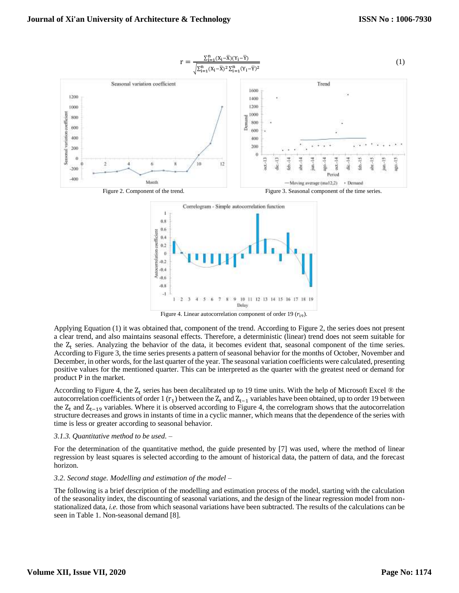

Applying Equation (1) it was obtained that, component of the trend. According to Figure 2, the series does not present a clear trend, and also maintains seasonal effects. Therefore, a deterministic (linear) trend does not seem suitable for the  $Z_t$  series. Analyzing the behavior of the data, it becomes evident that, seasonal component of the time series. According to Figure 3, the time series presents a pattern of seasonal behavior for the months of October, November and December, in other words, for the last quarter of the year. The seasonal variation coefficients were calculated, presenting positive values for the mentioned quarter. This can be interpreted as the quarter with the greatest need or demand for product P in the market.

According to Figure 4, the  $Z_t$  series has been decalibrated up to 19 time units. With the help of Microsoft Excel  $\otimes$  the autocorrelation coefficients of order 1  $(r_1)$  between the  $Z_t$  and  $Z_{t-1}$  variables have been obtained, up to order 19 between the  $Z_t$  and  $Z_{t-19}$  variables. Where it is observed according to Figure 4, the correlogram shows that the autocorrelation structure decreases and grows in instants of time in a cyclic manner, which means that the dependence of the series with time is less or greater according to seasonal behavior.

# *3.1.3. Quantitative method to be used.* –

For the determination of the quantitative method, the guide presented by [7] was used, where the method of linear regression by least squares is selected according to the amount of historical data, the pattern of data, and the forecast horizon.

## *3.2. Second stage. Modelling and estimation of the model* –

The following is a brief description of the modelling and estimation process of the model, starting with the calculation of the seasonality index, the discounting of seasonal variations, and the design of the linear regression model from nonstationalized data, *i.e.* those from which seasonal variations have been subtracted. The results of the calculations can be seen in Table 1. Non-seasonal demand [8].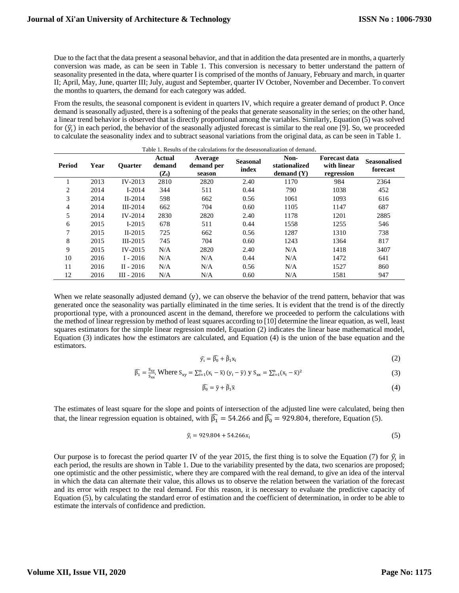Due to the fact that the data present a seasonal behavior, and that in addition the data presented are in months, a quarterly conversion was made, as can be seen in Table 1. This conversion is necessary to better understand the pattern of seasonality presented in the data, where quarter I is comprised of the months of January, February and march, in quarter II; April, May, June, quarter III; July, august and September, quarter IV October, November and December. To convert the months to quarters, the demand for each category was added.

From the results, the seasonal component is evident in quarters IV, which require a greater demand of product P. Once demand is seasonally adjusted, there is a softening of the peaks that generate seasonality in the series; on the other hand, a linear trend behavior is observed that is directly proportional among the variables. Similarly, Equation (5) was solved for  $(\hat{y}_i)$  in each period, the behavior of the seasonally adjusted forecast is similar to the real one [9]. So, we proceeded to calculate the seasonality index and to subtract seasonal variations from the original data, as can be seen in Table 1.

| Table 1. Results of the calculations for the deseasonalization of demand. |      |                |                                      |                                 |                                                                   |      |                                                   |                                 |  |
|---------------------------------------------------------------------------|------|----------------|--------------------------------------|---------------------------------|-------------------------------------------------------------------|------|---------------------------------------------------|---------------------------------|--|
| Period                                                                    | Year | <b>Ouarter</b> | Actual<br>demand<br>$(\mathbf{Z_t})$ | Average<br>demand per<br>season | Non-<br><b>Seasonal</b><br>stationalized<br>index<br>demand $(Y)$ |      | <b>Forecast data</b><br>with linear<br>regression | <b>Seasonalised</b><br>forecast |  |
|                                                                           | 2013 | $IV-2013$      | 2810                                 | 2820                            | 2.40                                                              | 1170 | 984                                               | 2364                            |  |
| $\overline{c}$                                                            | 2014 | $I-2014$       | 344                                  | 511                             | 0.44                                                              | 790  | 1038                                              | 452                             |  |
| 3                                                                         | 2014 | $II-2014$      | 598                                  | 662                             | 0.56                                                              | 1061 | 1093                                              | 616                             |  |
| 4                                                                         | 2014 | $III-2014$     | 662                                  | 704                             | 0.60                                                              | 1105 | 1147                                              | 687                             |  |
| 5                                                                         | 2014 | $IV-2014$      | 2830                                 | 2820                            | 2.40                                                              | 1178 | 1201                                              | 2885                            |  |
| 6                                                                         | 2015 | $I-2015$       | 678                                  | 511                             | 0.44                                                              | 1558 | 1255                                              | 546                             |  |
| 7                                                                         | 2015 | $II-2015$      | 725                                  | 662                             | 0.56                                                              | 1287 | 1310                                              | 738                             |  |
| 8                                                                         | 2015 | $III-2015$     | 745                                  | 704                             | 0.60                                                              | 1243 | 1364                                              | 817                             |  |
| 9                                                                         | 2015 | $IV-2015$      | N/A                                  | 2820                            | 2.40                                                              | N/A  | 1418                                              | 3407                            |  |
| 10                                                                        | 2016 | $I - 2016$     | N/A                                  | N/A                             | 0.44                                                              | N/A  | 1472                                              | 641                             |  |
| 11                                                                        | 2016 | $II - 2016$    | N/A                                  | N/A                             | 0.56                                                              | N/A  | 1527                                              | 860                             |  |
| 12                                                                        | 2016 | $III - 2016$   | N/A                                  | N/A                             | 0.60                                                              | N/A  | 1581                                              | 947                             |  |

When we relate seasonally adjusted demand (y), we can observe the behavior of the trend pattern, behavior that was generated once the seasonality was partially eliminated in the time series. It is evident that the trend is of the directly proportional type, with a pronounced ascent in the demand, therefore we proceeded to perform the calculations with the method of linear regression by method of least squares according to [10] determine the linear equation, as well, least squares estimators for the simple linear regression model, Equation (2) indicates the linear base mathematical model, Equation (3) indicates how the estimators are calculated, and Equation (4) is the union of the base equation and the estimators.

$$
\hat{y}_i = \hat{\beta}_0 + \hat{\beta}_1 x_i \tag{2}
$$

$$
\widehat{\beta_1} = \frac{S_{xy}}{S_{xx}}, \text{ Where } S_{xy} = \sum_{i=1}^n (x_i - \bar{x}) (y_i - \bar{y}) \text{ y } S_{xx} = \sum_{i=1}^n (x_i - \bar{x})^2 \tag{3}
$$

$$
\widehat{\beta_0} = \bar{y} + \hat{\beta}_1 \bar{x} \tag{4}
$$

The estimates of least square for the slope and points of intersection of the adjusted line were calculated, being then that, the linear regression equation is obtained, with  $\widehat{\beta_1} = 54.266$  and  $\widehat{\beta_0} = 929.804$ , therefore, Equation (5).

$$
\hat{y}_i = 929.804 + 54.266x_i \tag{5}
$$

Our purpose is to forecast the period quarter IV of the year 2015, the first thing is to solve the Equation (7) for  $\hat{y}_i$  in each period, the results are shown in Table 1. Due to the variability presented by the data, two scenarios are proposed; one optimistic and the other pessimistic, where they are compared with the real demand, to give an idea of the interval in which the data can alternate their value, this allows us to observe the relation between the variation of the forecast and its error with respect to the real demand. For this reason, it is necessary to evaluate the predictive capacity of Equation (5), by calculating the standard error of estimation and the coefficient of determination, in order to be able to estimate the intervals of confidence and prediction.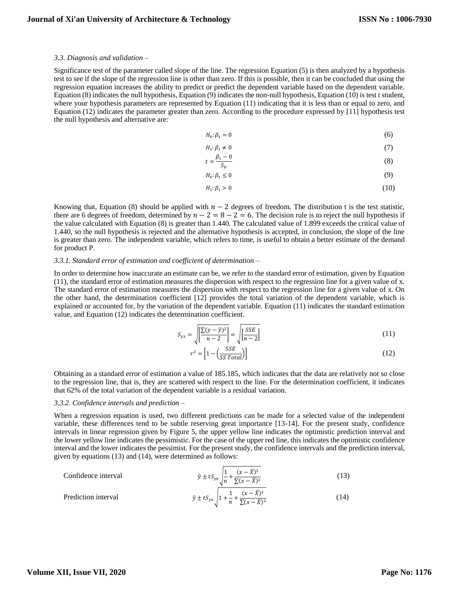#### *3.3. Diagnosis and validation* –

Significance test of the parameter called slope of the line. The regression Equation (5) is then analyzed by a hypothesis test to see if the slope of the regression line is other than zero. If this is possible, then it can be concluded that using the regression equation increases the ability to predict or predict the dependent variable based on the dependent variable. Equation (8) indicates the null hypothesis, Equation (9) indicates the non-null hypothesis, Equation (10) is test t student, where your hypothesis parameters are represented by Equation (11) indicating that it is less than or equal to zero, and Equation (12) indicates the parameter greater than zero. According to the procedure expressed by [11] hypothesis test the null hypothesis and alternative are:

$$
H_0: \beta_1 = 0 \tag{6}
$$

$$
H_1: \beta_1 \neq 0 \tag{7}
$$

$$
t = \frac{\beta_1 - 0}{S_b} \tag{8}
$$

$$
H_0: \beta_1 \le 0 \tag{9}
$$

$$
H_1: \beta_1 > 0 \tag{10}
$$

Knowing that, Equation (8) should be applied with  $n - 2$  degrees of freedom. The distribution t is the test statistic, there are 6 degrees of freedom, determined by  $n - 2 = 8 - 2 = 6$ . The decision rule is to reject the null hypothesis if the value calculated with Equation (8) is greater than 1.440. The calculated value of 1.899 exceeds the critical value of 1.440, so the null hypothesis is rejected and the alternative hypothesis is accepted, in conclusion, the slope of the line is greater than zero. The independent variable, which refers to time, is useful to obtain a better estimate of the demand for product P.

## *3.3.1. Standard error of estimation and coefficient of determination* –

In order to determine how inaccurate an estimate can be, we refer to the standard error of estimation, given by Equation (11), the standard error of estimation measures the dispersion with respect to the regression line for a given value of x. The standard error of estimation measures the dispersion with respect to the regression line for a given value of x. On the other hand, the determination coefficient [12] provides the total variation of the dependent variable, which is explained or accounted for, by the variation of the dependent variable. Equation (11) indicates the standard estimation value, and Equation (12) indicates the determination coefficient.

$$
S_{yx} = \sqrt{\left[\frac{\sum(y - \hat{y})^2}{n - 2}\right]} = \sqrt{\left[\frac{SSE}{n - 2}\right]}
$$
\n(11)

$$
r^2 = \left[1 - \left(\frac{SSE}{SSTotal}\right)\right]
$$
\n(12)

Obtaining as a standard error of estimation a value of 185.185, which indicates that the data are relatively not so close to the regression line, that is, they are scattered with respect to the line. For the determination coefficient, it indicates that 62% of the total variation of the dependent variable is a residual variation.

#### *3.3.2. Confidence intervals and prediction* –

When a regression equation is used, two different predictions can be made for a selected value of the independent variable, these differences tend to be subtle reserving great importance [13-14]. For the present study, confidence intervals in linear regression given by Figure 5, the upper yellow line indicates the optimistic prediction interval and the lower yellow line indicates the pessimistic. For the case of the upper red line, this indicates the optimistic confidence interval and the lower indicates the pessimist. For the present study, the confidence intervals and the prediction interval, given by equations (13) and (14), were determined as follows:

Confidence interval  
\n
$$
\hat{y} \pm t S_{yx} \sqrt{\frac{1}{n} + \frac{(x - \bar{X})^2}{\Sigma(x - \bar{X})^2}}
$$
\n(13)  
\nPrediction interval  
\n
$$
\hat{y} \pm t S_{yx} \sqrt{1 + \frac{1}{n} + \frac{(x - \bar{X})^2}{\Sigma(x - \bar{X})^2}}
$$
\n(14)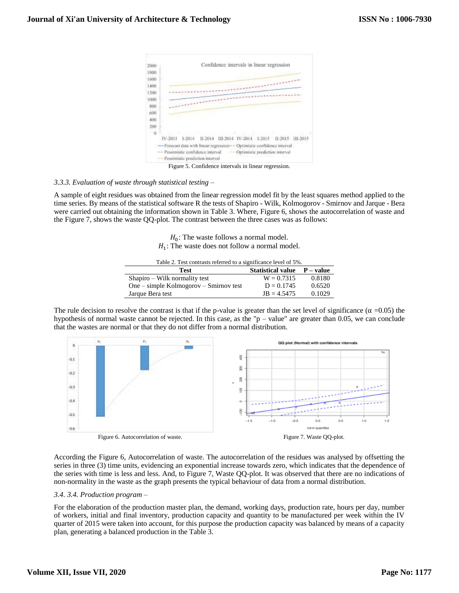

Figure 5. Confidence intervals in linear regression.

# *3.3.3. Evaluation of waste through statistical testing* –

A sample of eight residues was obtained from the linear regression model fit by the least squares method applied to the time series. By means of the statistical software R the tests of Shapiro - Wilk, Kolmogorov - Smirnov and Jarque - Bera were carried out obtaining the information shown in Table 3. Where, Figure 6, shows the autocorrelation of waste and the Figure 7, shows the waste QQ-plot. The contrast between the three cases was as follows:

> $H_0$ : The waste follows a normal model.  $H_1$ : The waste does not follow a normal model.

Table 2. Test contrasts referred to a significance level of 5%.

| Test                                     | Statistical value $P - value$ |        |
|------------------------------------------|-------------------------------|--------|
| Shapiro – Wilk normality test            | $W = 0.7315$                  | 0.8180 |
| $One$ – simple Kolmogorov – Smirnov test | $D = 0.1745$                  | 0.6520 |
| Jarque Bera test                         | $JB = 4.5475$                 | 0.1029 |

The rule decision to resolve the contrast is that if the p-value is greater than the set level of significance ( $\alpha$  =0.05) the hypothesis of normal waste cannot be rejected. In this case, as the "p – value" are greater than 0.05, we can conclude that the wastes are normal or that they do not differ from a normal distribution.



According the Figure 6, Autocorrelation of waste. The autocorrelation of the residues was analysed by offsetting the series in three (3) time units, evidencing an exponential increase towards zero, which indicates that the dependence of the series with time is less and less. And, to Figure 7, Waste QQ-plot. It was observed that there are no indications of non-normality in the waste as the graph presents the typical behaviour of data from a normal distribution.

# *3.4. 3.4. Production program* –

For the elaboration of the production master plan, the demand, working days, production rate, hours per day, number of workers, initial and final inventory, production capacity and quantity to be manufactured per week within the IV quarter of 2015 were taken into account, for this purpose the production capacity was balanced by means of a capacity plan, generating a balanced production in the Table 3.